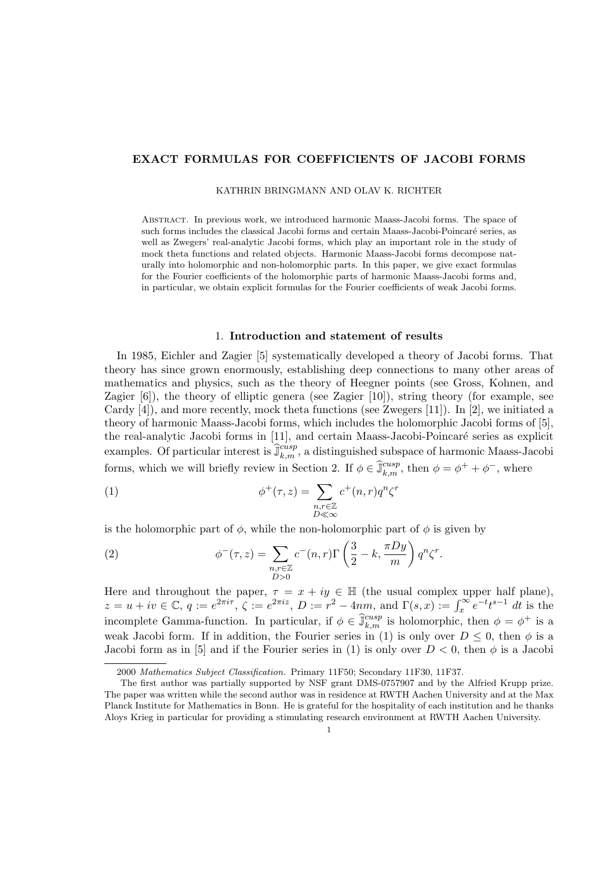# EXACT FORMULAS FOR COEFFICIENTS OF JACOBI FORMS

KATHRIN BRINGMANN AND OLAV K. RICHTER

Abstract. In previous work, we introduced harmonic Maass-Jacobi forms. The space of such forms includes the classical Jacobi forms and certain Maass-Jacobi-Poincaré series, as well as Zwegers' real-analytic Jacobi forms, which play an important role in the study of mock theta functions and related objects. Harmonic Maass-Jacobi forms decompose naturally into holomorphic and non-holomorphic parts. In this paper, we give exact formulas for the Fourier coefficients of the holomorphic parts of harmonic Maass-Jacobi forms and, in particular, we obtain explicit formulas for the Fourier coefficients of weak Jacobi forms.

# 1. Introduction and statement of results

In 1985, Eichler and Zagier [5] systematically developed a theory of Jacobi forms. That theory has since grown enormously, establishing deep connections to many other areas of mathematics and physics, such as the theory of Heegner points (see Gross, Kohnen, and Zagier [6]), the theory of elliptic genera (see Zagier [10]), string theory (for example, see Cardy [4]), and more recently, mock theta functions (see Zwegers [11]). In [2], we initiated a theory of harmonic Maass-Jacobi forms, which includes the holomorphic Jacobi forms of [5], the real-analytic Jacobi forms in [11], and certain Maass-Jacobi-Poincaré series as explicit examples. Of particular interest is  $\widehat{\mathbb{J}}_{k,m}^{cusp}$ , a distinguished subspace of harmonic Maass-Jacobi forms, which we will briefly review in Section 2. If  $\phi \in \hat{\mathbb{J}}_{k,m}^{cusp}$ , then  $\phi = \phi^+ + \phi^-$ , where

(1) 
$$
\phi^+(\tau, z) = \sum_{\substack{n, r \in \mathbb{Z} \\ D \ll \infty}} c^+(n, r) q^n \zeta^r
$$

is the holomorphic part of  $\phi$ , while the non-holomorphic part of  $\phi$  is given by

(2) 
$$
\phi^{-}(\tau, z) = \sum_{\substack{n, r \in \mathbb{Z} \\ D > 0}} c^{-}(n, r) \Gamma\left(\frac{3}{2} - k, \frac{\pi D y}{m}\right) q^{n} \zeta^{r}.
$$

Here and throughout the paper,  $\tau = x + iy \in \mathbb{H}$  (the usual complex upper half plane),  $z = u + iv \in \mathbb{C}, q := e^{2\pi i \tau}, \zeta := e^{2\pi i z}, D := r^2 - 4nm, \text{ and } \Gamma(s, x) := \int_x^{\infty} e^{-t} t^{s-1} dt$  is the incomplete Gamma-function. In particular, if  $\phi \in \hat{\mathbb{J}}_{k,m}^{cusp}$  is holomorphic, then  $\phi = \phi^+$  is a weak Jacobi form. If in addition, the Fourier series in (1) is only over  $D \leq 0$ , then  $\phi$  is a Jacobi form as in [5] and if the Fourier series in (1) is only over  $D < 0$ , then  $\phi$  is a Jacobi

<sup>2000</sup> *Mathematics Subject Classification.* Primary 11F50; Secondary 11F30, 11F37.

The first author was partially supported by NSF grant DMS-0757907 and by the Alfried Krupp prize. The paper was written while the second author was in residence at RWTH Aachen University and at the Max Planck Institute for Mathematics in Bonn. He is grateful for the hospitality of each institution and he thanks Aloys Krieg in particular for providing a stimulating research environment at RWTH Aachen University.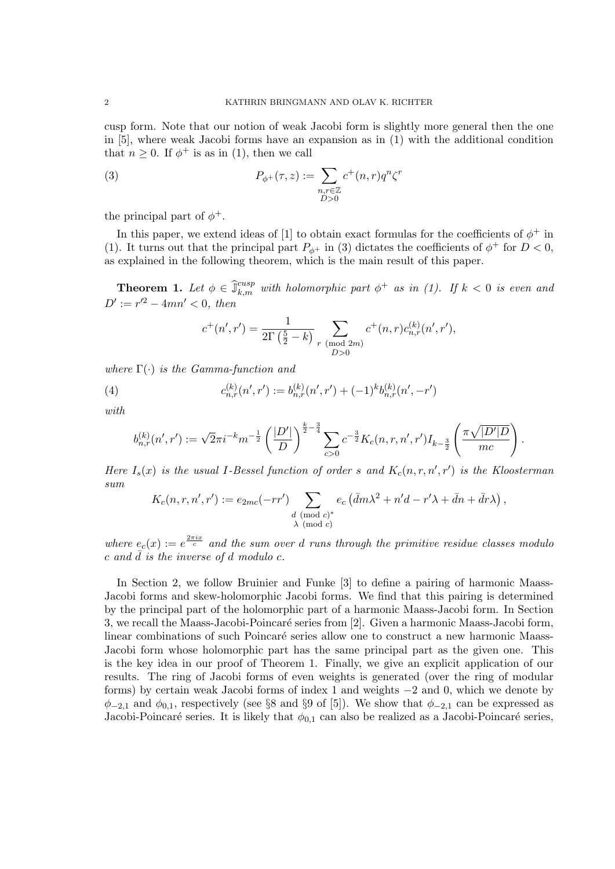cusp form. Note that our notion of weak Jacobi form is slightly more general then the one in [5], where weak Jacobi forms have an expansion as in (1) with the additional condition that  $n > 0$ . If  $\phi^+$  is as in (1), then we call

(3) 
$$
P_{\phi^+}(\tau, z) := \sum_{\substack{n,r \in \mathbb{Z} \\ D > 0}} c^+(n,r) q^n \zeta^r
$$

the principal part of  $\phi^+$ .

In this paper, we extend ideas of [1] to obtain exact formulas for the coefficients of  $\phi^+$  in (1). It turns out that the principal part  $P_{\phi^+}$  in (3) dictates the coefficients of  $\phi^+$  for  $D < 0$ , as explained in the following theorem, which is the main result of this paper.

**Theorem 1.** Let  $\phi \in \hat{\mathbb{J}}_{k,m}^{cusp}$  with *holomorphic part*  $\phi^+$  *as in (1).* If  $k < 0$  *is even and*  $D' := r'^2 - 4mn' < 0$ , then

$$
c^{+}(n',r') = \frac{1}{2\Gamma(\frac{5}{2}-k)} \sum_{\substack{r \pmod{2m} \\ D>0}} c^{+}(n,r)c_{n,r}^{(k)}(n',r'),
$$

*where* Γ(·) *is the Gamma-function and*

(4) 
$$
c_{n,r}^{(k)}(n',r') := b_{n,r}^{(k)}(n',r') + (-1)^k b_{n,r}^{(k)}(n',-r')
$$

*with*

$$
b_{n,r}^{(k)}(n',r') := \sqrt{2\pi i^{-k} m^{-\frac{1}{2}}} \left(\frac{|D'|}{D}\right)^{\frac{k}{2}-\frac{3}{4}} \sum_{c>0} c^{-\frac{3}{2}} K_c(n,r,n',r') I_{k-\frac{3}{2}} \left(\frac{\pi \sqrt{|D'|D}}{mc}\right).
$$

*Here*  $I_s(x)$  *is the usual* I-Bessel function of order s and  $K_c(n,r,n',r')$  *is the Kloosterman sum*

$$
K_c(n,r,n',r') := e_{2mc}(-rr') \sum_{\substack{d \pmod{c}^* \\ \lambda \pmod{c}}} e_c (\bar{d}m\lambda^2 + n'd - r'\lambda + \bar{d}n + \bar{d}r\lambda),
$$

 $where \ e_c(x) := e^{\frac{2\pi i x}{c}}$  and the sum over d runs through the primitive residue classes modulo  $c$  and  $\overline{d}$  *is the inverse of d modulo c.* 

In Section 2, we follow Bruinier and Funke [3] to define a pairing of harmonic Maass-Jacobi forms and skew-holomorphic Jacobi forms. We find that this pairing is determined by the principal part of the holomorphic part of a harmonic Maass-Jacobi form. In Section 3, we recall the Maass-Jacobi-Poincaré series from [2]. Given a harmonic Maass-Jacobi form, linear combinations of such Poincaré series allow one to construct a new harmonic Maass-Jacobi form whose holomorphic part has the same principal part as the given one. This is the key idea in our proof of Theorem 1. Finally, we give an explicit application of our results. The ring of Jacobi forms of even weights is generated (over the ring of modular forms) by certain weak Jacobi forms of index 1 and weights −2 and 0, which we denote by  $\phi_{-2,1}$  and  $\phi_{0,1}$ , respectively (see §8 and §9 of [5]). We show that  $\phi_{-2,1}$  can be expressed as Jacobi-Poincaré series. It is likely that  $\phi_{0,1}$  can also be realized as a Jacobi-Poincaré series,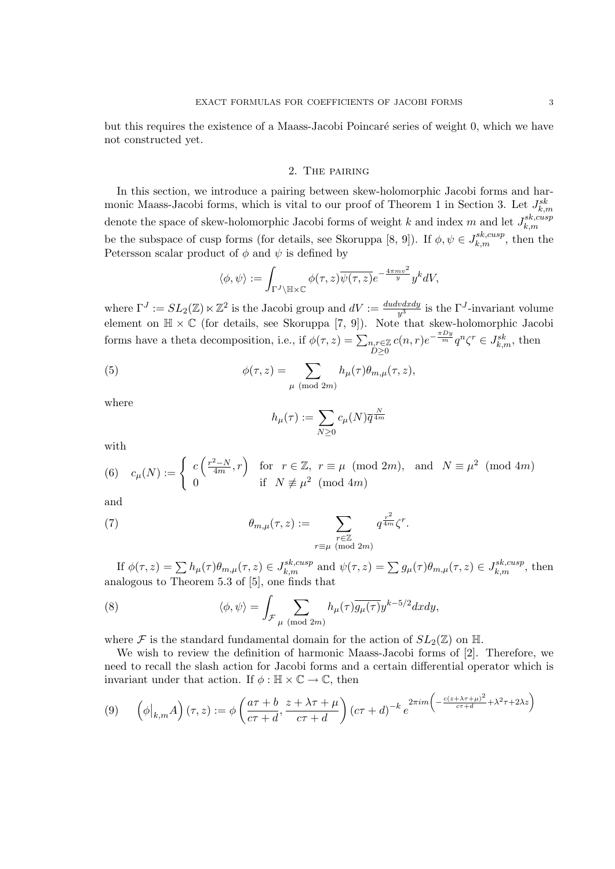but this requires the existence of a Maass-Jacobi Poincaré series of weight 0, which we have not constructed yet.

## 2. The pairing

In this section, we introduce a pairing between skew-holomorphic Jacobi forms and harmonic Maass-Jacobi forms, which is vital to our proof of Theorem 1 in Section 3. Let  $J_{k,m}^{sk}$ denote the space of skew-holomorphic Jacobi forms of weight k and index m and let  $J_{k,m}^{sk,cusp}$ be the subspace of cusp forms (for details, see Skoruppa [8, 9]). If  $\phi, \psi \in J_{k,m}^{sk,cusp}$ , then the Petersson scalar product of  $\phi$  and  $\psi$  is defined by

$$
\langle \phi, \psi \rangle := \int_{\Gamma^J \setminus \mathbb{H} \times \mathbb{C}} \phi(\tau, z) \overline{\psi(\tau, z)} e^{-\frac{4\pi m v^2}{y}} y^k dV,
$$

where  $\Gamma^J := SL_2(\mathbb{Z}) \ltimes \mathbb{Z}^2$  is the Jacobi group and  $dV := \frac{du dv dx dy}{y^3}$  is the  $\Gamma^J$ -invariant volume element on  $\mathbb{H} \times \mathbb{C}$  (for details, see Skoruppa [7, 9]). Note that skew-holomorphic Jacobi forms have a theta decomposition, i.e., if  $\phi(\tau, z) = \sum_{n,r \in \mathbb{Z}}$  $D\geq 0$  $c(n,r)e^{-\frac{\pi D y}{m}}q^n\zeta^r \in J_{k,m}^{sk}$ , then

(5) 
$$
\phi(\tau, z) = \sum_{\mu \pmod{2m}} h_{\mu}(\tau) \theta_{m, \mu}(\tau, z),
$$

where

$$
h_{\mu}(\tau) := \sum_{N \ge 0} c_{\mu}(N) \overline{q}^{\frac{N}{4m}}
$$

with

(6) 
$$
c_{\mu}(N) := \begin{cases} c\left(\frac{r^2 - N}{4m}, r\right) & \text{for } r \in \mathbb{Z}, r \equiv \mu \pmod{2m}, \text{ and } N \equiv \mu^2 \pmod{4m} \\ 0 & \text{if } N \not\equiv \mu^2 \pmod{4m} \end{cases}
$$

and

(7) 
$$
\theta_{m,\mu}(\tau,z) := \sum_{\substack{r \in \mathbb{Z} \\ r \equiv \mu \pmod{2m}}} q^{\frac{r^2}{4m}} \zeta^r.
$$

If  $\phi(\tau, z) = \sum h_{\mu}(\tau) \theta_{m,\mu}(\tau, z) \in J_{k,m}^{sk, cusp}$  and  $\psi(\tau, z) = \sum g_{\mu}(\tau) \theta_{m,\mu}(\tau, z) \in J_{k,m}^{sk, cusp}$ , then analogous to Theorem 5.3 of [5], one finds that

(8) 
$$
\langle \phi, \psi \rangle = \int_{\mathcal{F}_{\mu}} \sum_{(\text{mod } 2m)} h_{\mu}(\tau) \overline{g_{\mu}(\tau)} y^{k-5/2} dx dy,
$$

where F is the standard fundamental domain for the action of  $SL_2(\mathbb{Z})$  on H.

We wish to review the definition of harmonic Maass-Jacobi forms of [2]. Therefore, we need to recall the slash action for Jacobi forms and a certain differential operator which is invariant under that action. If  $\phi : \mathbb{H} \times \mathbb{C} \to \mathbb{C}$ , then

$$
(9) \qquad \left(\phi\big|_{k,m}A\right)(\tau,z) := \phi\left(\frac{a\tau+b}{c\tau+d}, \frac{z+\lambda\tau+\mu}{c\tau+d}\right)(c\tau+d)^{-k}e^{2\pi im\left(-\frac{c(z+\lambda\tau+\mu)^2}{c\tau+d} + \lambda^2\tau + 2\lambda z\right)}
$$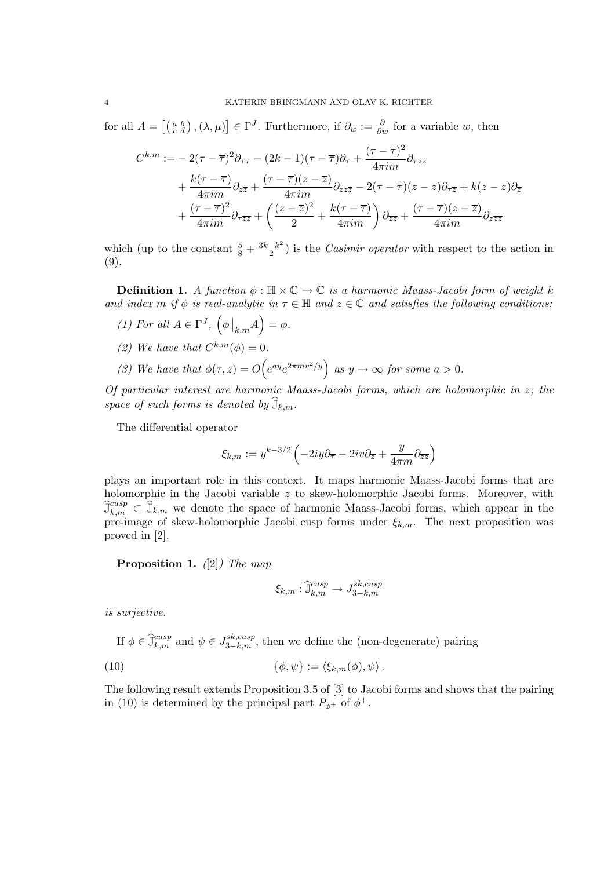for all  $A = \left[ \begin{pmatrix} a & b \\ c & d \end{pmatrix}, (\lambda, \mu) \right] \in \Gamma^J$ . Furthermore, if  $\partial_w := \frac{\partial}{\partial w}$  for a variable w, then

$$
C^{k,m} := -2(\tau - \overline{\tau})^2 \partial_{\tau \overline{\tau}} - (2k - 1)(\tau - \overline{\tau}) \partial_{\overline{\tau}} + \frac{(\tau - \overline{\tau})^2}{4\pi i m} \partial_{\overline{\tau} z z} + \frac{k(\tau - \overline{\tau})}{4\pi i m} \partial_{z\overline{z}} + \frac{(\tau - \overline{\tau})(z - \overline{z})}{4\pi i m} \partial_{z z\overline{z}} - 2(\tau - \overline{\tau})(z - \overline{z}) \partial_{\tau \overline{z}} + k(z - \overline{z}) \partial_{\overline{z}} + \frac{(\tau - \overline{\tau})^2}{4\pi i m} \partial_{\tau \overline{z} \overline{z}} + \left(\frac{(z - \overline{z})^2}{2} + \frac{k(\tau - \overline{\tau})}{4\pi i m}\right) \partial_{\overline{z} \overline{z}} + \frac{(\tau - \overline{\tau})(z - \overline{z})}{4\pi i m} \partial_{z \overline{z} \overline{z}}
$$

which (up to the constant  $\frac{5}{8} + \frac{3k-k^2}{2}$ ) is the *Casimir operator* with respect to the action in (9).

**Definition 1.** A function  $\phi : \mathbb{H} \times \mathbb{C} \to \mathbb{C}$  is a harmonic Maass-Jacobi form of weight k *and index* m *if*  $\phi$  *is real-analytic in*  $\tau \in \mathbb{H}$  *and*  $z \in \mathbb{C}$  *and satisfies the following conditions:* 

- *(1) For all*  $A \in \Gamma^J$ ,  $(\phi \mid_{k,m} A) = \phi$ .
- *(2) We have that*  $C^{k,m}(\phi) = 0$ *.*
- (3) We have that  $\phi(\tau, z) = O\left(e^{ay}e^{2\pi m v^2/y}\right)$  as  $y \to \infty$  for some  $a > 0$ .

*Of particular interest are harmonic Maass-Jacobi forms, which are holomorphic in* z*; the space of such forms is denoted by*  $\widehat{J}_{k,m}$ *.* 

The differential operator

$$
\xi_{k,m}:=y^{k-3/2}\left(-2iy\partial_{\overline{z}}-2iv\partial_{\overline{z}}+\frac{y}{4\pi m}\partial_{\overline{z}\overline{z}}\right)
$$

plays an important role in this context. It maps harmonic Maass-Jacobi forms that are holomorphic in the Jacobi variable z to skew-holomorphic Jacobi forms. Moreover, with  $\widehat{J}_{k,m}^{cusp} \subset \widehat{J}_{k,m}$  we denote the space of harmonic Maass-Jacobi forms, which appear in the pre-image of skew-holomorphic Jacobi cusp forms under  $\xi_{k,m}$ . The next proposition was proved in [2].

Proposition 1. *(*[2]*) The map*

$$
\xi_{k,m}:\widehat{\mathbb{J}}_{k,m}^{cusp}\to J^{sk,cusp}_{3-k,m}
$$

*is surjective.*

If  $\phi \in \hat{\mathbb{J}}_{k,m}^{cusp}$  and  $\psi \in J_{3-k,m}^{sk,cusp}$ , then we define the (non-degenerate) pairing

(10) 
$$
\{\phi,\psi\} := \langle \xi_{k,m}(\phi),\psi \rangle.
$$

The following result extends Proposition 3.5 of [3] to Jacobi forms and shows that the pairing in (10) is determined by the principal part  $P_{\phi^+}$  of  $\phi^+$ .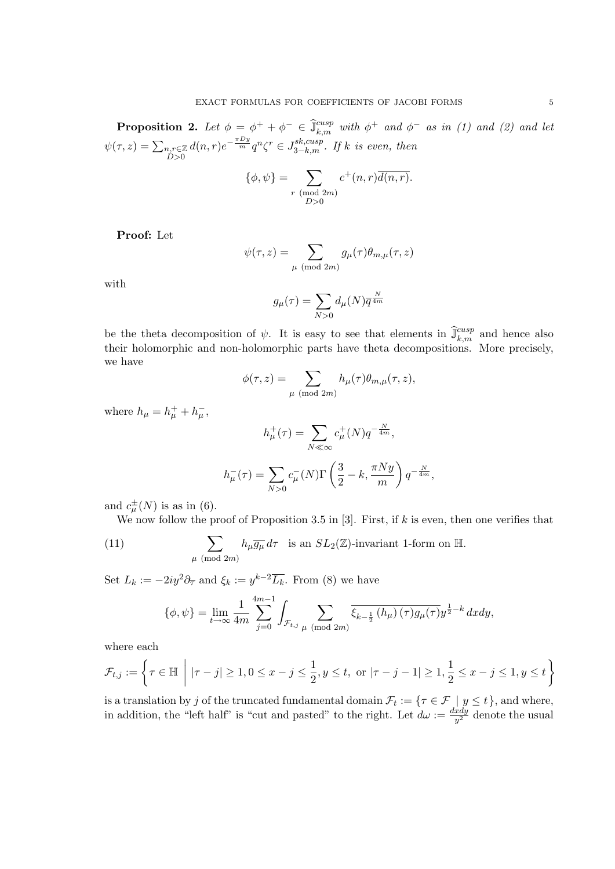**Proposition 2.** Let  $\phi = \phi^+ + \phi^- \in \hat{\mathbb{J}}_{k,m}^{cusp}$  with  $\phi^+$  and  $\phi^-$  as in (1) and (2) and let  $\psi(\tau, z) = \sum_{\substack{n,r \in \mathbb{Z} \\ D > 0}}$  $d(n,r)e^{-\frac{\pi D y}{m}}q^n \zeta^r \in J_{3-k,m}^{sk,cusp}$ . If k is even, then

$$
\{\phi, \psi\} = \sum_{\substack{r \pmod{2m} \\ D>0}} c^+(n, r) \overline{d(n, r)}.
$$

Proof: Let

$$
\psi(\tau,z) = \sum_{\mu \pmod{2m}} g_{\mu}(\tau) \theta_{m,\mu}(\tau,z)
$$

with

$$
g_{\mu}(\tau)=\sum_{N>0}d_{\mu}(N)\overline{q}^{\frac{N}{4m}}
$$

be the theta decomposition of  $\psi$ . It is easy to see that elements in  $\widehat{\mathbb{J}}_{k,m}^{cusp}$  and hence also their holomorphic and non-holomorphic parts have theta decompositions. More precisely, we have

$$
\phi(\tau,z) = \sum_{\mu \pmod{2m}} h_{\mu}(\tau) \theta_{m,\mu}(\tau,z),
$$

where  $h_{\mu} = h_{\mu}^{+} + h_{\mu}^{-}$ ,

$$
h^+_{\mu}(\tau) = \sum_{N \ll \infty} c^+_{\mu}(N) q^{-\frac{N}{4m}},
$$
  

$$
h^-_{\mu}(\tau) = \sum_{N>0} c^-_{\mu}(N) \Gamma\left(\frac{3}{2} - k, \frac{\pi N y}{m}\right) q^{-\frac{N}{4m}},
$$

and  $c_{\mu}^{\pm}(N)$  is as in (6).

We now follow the proof of Proposition 3.5 in [3]. First, if  $k$  is even, then one verifies that

(11) 
$$
\sum_{\mu \pmod{2m}} h_{\mu} \overline{g_{\mu}} d\tau \text{ is an } SL_2(\mathbb{Z})\text{-invariant 1-form on } \mathbb{H}.
$$

Set  $L_k := -2iy^2\partial_{\overline{\tau}}$  and  $\xi_k := y^{k-2}\overline{L_k}$ . From (8) we have

$$
\{\phi, \psi\} = \lim_{t \to \infty} \frac{1}{4m} \sum_{j=0}^{4m-1} \int_{\mathcal{F}_{t,j}} \sum_{\mu \pmod{2m}} \overline{\xi_{k-\frac{1}{2}}(h_{\mu}) (\tau) g_{\mu}(\tau)} y^{\frac{1}{2} - k} dxdy,
$$

where each

$$
\mathcal{F}_{t,j} := \left\{ \tau \in \mathbb{H} \; \middle| \; |\tau - j| \geq 1, 0 \leq x - j \leq \frac{1}{2}, y \leq t, \text{ or } |\tau - j - 1| \geq 1, \frac{1}{2} \leq x - j \leq 1, y \leq t \right\}
$$

is a translation by j of the truncated fundamental domain  $\mathcal{F}_t := \{ \tau \in \mathcal{F} \mid y \leq t \}$ , and where, in addition, the "left half" is "cut and pasted" to the right. Let  $d\omega := \frac{dxdy}{y^2}$  denote the usual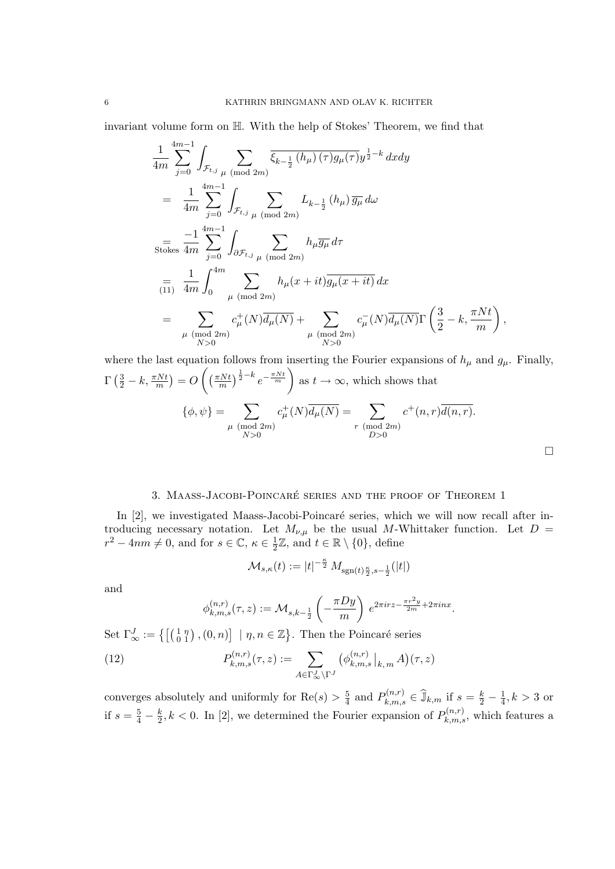invariant volume form on H. With the help of Stokes' Theorem, we find that

$$
\frac{1}{4m} \sum_{j=0}^{4m-1} \int_{\mathcal{F}_{t,j}} \sum_{\mu \pmod{2m}} \overline{\xi_{k-\frac{1}{2}}(h_{\mu}) (\tau) g_{\mu}(\tau)} y^{\frac{1}{2} - k} dxdy
$$
\n
$$
= \frac{1}{4m} \sum_{j=0}^{4m-1} \int_{\mathcal{F}_{t,j}} \sum_{\mu \pmod{2m}} L_{k-\frac{1}{2}}(h_{\mu}) \overline{g_{\mu}} d\omega
$$
\n
$$
= \frac{-1}{4m} \sum_{j=0}^{4m-1} \int_{\partial \mathcal{F}_{t,j}} \sum_{\mu \pmod{2m}} h_{\mu} \overline{g_{\mu}} d\tau
$$
\n
$$
= \frac{1}{4m} \int_{0}^{4m} \sum_{\mu \pmod{2m}} h_{\mu}(x+it) \overline{g_{\mu}(x+it)} d x
$$
\n
$$
= \sum_{\mu \pmod{2m}} c_{\mu}^{+}(N) \overline{d_{\mu}(N)} + \sum_{\mu \pmod{2m}} c_{\mu}^{-}(N) \overline{d_{\mu}(N)} \Gamma\left(\frac{3}{2} - k, \frac{\pi Nt}{m}\right),
$$

where the last equation follows from inserting the Fourier expansions of  $h_{\mu}$  and  $g_{\mu}$ . Finally,  $\Gamma\left(\frac{3}{2} - k, \frac{\pi Nt}{m}\right) = O\left(\left(\frac{\pi Nt}{m}\right)^{\frac{1}{2} - k} e^{-\frac{\pi Nt}{m}}\right)$ as  $t \to \infty$ , which shows that  $\{\phi, \psi\} = \sum$  $\mu \pmod{2m}$  $N>0$  $c^+_\mu(N)\overline{d_\mu(N)} = \sum$  $r \pmod{2m}$  $D>0$  $c^+(n,r)\overline{d(n,r)}.$  $\Box$ 

### 3. Maass-Jacobi-Poincare´ series and the proof of Theorem 1

In  $[2]$ , we investigated Maass-Jacobi-Poincaré series, which we will now recall after introducing necessary notation. Let  $M_{\nu,\mu}$  be the usual M-Whittaker function. Let  $D =$  $r^2 - 4nm \neq 0$ , and for  $s \in \mathbb{C}$ ,  $\kappa \in \frac{1}{2}\mathbb{Z}$ , and  $t \in \mathbb{R} \setminus \{0\}$ , define

$$
\mathcal{M}_{s,\kappa}(t):=|t|^{-\frac{\kappa}{2}}\,M_{\mathrm{sgn}(t)\frac{\kappa}{2},s-\frac{1}{2}}(|t|)
$$

and

$$
\phi_{k,m,s}^{(n,r)}(\tau,z) := \mathcal{M}_{s,k-\frac{1}{2}}\left(-\frac{\pi D y}{m}\right) e^{2\pi i r z - \frac{\pi r^2 y}{2m} + 2\pi i n x}.
$$

Set  $\Gamma_{\infty}^{J} := \left\{ \begin{bmatrix} \begin{pmatrix} 1 & \eta \\ 0 & 1 \end{pmatrix}, (0, n) \end{bmatrix} \mid \eta, n \in \mathbb{Z} \right\}$ . Then the Poincaré series

(12) 
$$
P_{k,m,s}^{(n,r)}(\tau,z) := \sum_{A \in \Gamma_{\infty}^J \backslash \Gamma^J} \left( \phi_{k,m,s}^{(n,r)} \big|_{k,m} A \right) (\tau,z)
$$

converges absolutely and uniformly for  $\text{Re}(s) > \frac{5}{4}$  and  $P_{k,m,s}^{(n,r)} \in \mathbb{\hat{J}}_{k,m}$  if  $s = \frac{k}{2} - \frac{1}{4}$ ,  $k > 3$  or if  $s = \frac{5}{4} - \frac{k}{2}$ ,  $k < 0$ . In [2], we determined the Fourier expansion of  $P_{k,m,s}^{(n,r)}$ , which features a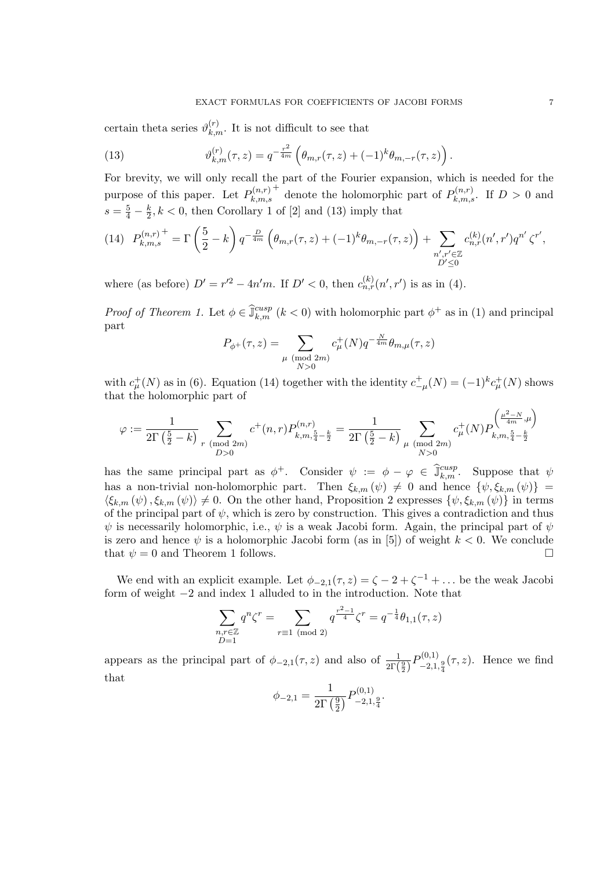certain theta series  $\vartheta_{k,m}^{(r)}$ . It is not difficult to see that

(13) 
$$
\vartheta_{k,m}^{(r)}(\tau,z) = q^{-\frac{r^2}{4m}} \left( \theta_{m,r}(\tau,z) + (-1)^k \theta_{m,-r}(\tau,z) \right).
$$

For brevity, we will only recall the part of the Fourier expansion, which is needed for the purpose of this paper. Let  $P_{k,m,s}^{(n,r)}$ <sup>+</sup> denote the holomorphic part of  $P_{k,m,s}^{(n,r)}$ . If  $D > 0$  and  $s = \frac{5}{4} - \frac{k}{2}$ ,  $k < 0$ , then Corollary 1 of [2] and (13) imply that

$$
(14) \quad P_{k,m,s}^{(n,r)} = \Gamma\left(\frac{5}{2} - k\right) q^{-\frac{D}{4m}} \left(\theta_{m,r}(\tau,z) + (-1)^k \theta_{m,-r}(\tau,z)\right) + \sum_{\substack{n',r' \in \mathbb{Z} \\ D' \le 0}} c_{n,r}^{(k)}(n',r') q^{n'} \zeta^{r'},
$$

where (as before)  $D' = r'^2 - 4n'm$ . If  $D' < 0$ , then  $c_{n,r}^{(k)}(n',r')$  is as in (4).

*Proof of Theorem 1.* Let  $\phi \in \hat{\mathbb{J}}_{k,m}^{cusp}$  ( $k < 0$ ) with holomorphic part  $\phi^+$  as in (1) and principal part

$$
P_{\phi^{+}}(\tau, z) = \sum_{\substack{\mu \pmod{2m} \\ N > 0}} c_{\mu}^{+}(N) q^{-\frac{N}{4m}} \theta_{m, \mu}(\tau, z)
$$

with  $c^+_\mu(N)$  as in (6). Equation (14) together with the identity  $c^+_{-\mu}(N) = (-1)^k c^+_\mu(N)$  shows that the holomorphic part of

$$
\varphi:=\frac{1}{2\Gamma\left(\frac{5}{2}-k\right)}\sum_{\substack{r\pmod{2m} \\ D>0}}c^+(n,r)P^{(n,r)}_{k,m,\frac{5}{4}-\frac{k}{2}}=\frac{1}{2\Gamma\left(\frac{5}{2}-k\right)}\sum_{\substack{\mu\pmod{2m} \\ N>0}}c^+_{\mu}(N)P^{ \left(\frac{\mu^2-N}{4m},\mu\right)}_{k,m,\frac{5}{4}-\frac{k}{2}}
$$

has the same principal part as  $\phi^+$ . Consider  $\psi := \phi - \varphi \in \widehat{\mathbb{J}}_{k,m}^{cusp}$ . Suppose that  $\psi$ has a non-trivial non-holomorphic part. Then  $\xi_{k,m}(\psi) \neq 0$  and hence  $\{\psi, \xi_{k,m}(\psi)\}$  =  $\langle \xi_{k,m} (\psi), \xi_{k,m} (\psi) \rangle \neq 0$ . On the other hand, Proposition 2 expresses  ${\psi, \xi_{k,m} (\psi)}$  in terms of the principal part of  $\psi$ , which is zero by construction. This gives a contradiction and thus  $\psi$  is necessarily holomorphic, i.e.,  $\psi$  is a weak Jacobi form. Again, the principal part of  $\psi$ is zero and hence  $\psi$  is a holomorphic Jacobi form (as in [5]) of weight  $k < 0$ . We conclude that  $\psi = 0$  and Theorem 1 follows.

We end with an explicit example. Let  $\phi_{-2,1}(\tau,z) = \zeta - 2 + \zeta^{-1} + \dots$  be the weak Jacobi form of weight −2 and index 1 alluded to in the introduction. Note that

$$
\sum_{\substack{n,r \in \mathbb{Z} \\ D=1}} q^n \zeta^r = \sum_{r \equiv 1 \pmod{2}} q^{\frac{r^2-1}{4}} \zeta^r = q^{-\frac{1}{4}} \theta_{1,1}(\tau, z)
$$

appears as the principal part of  $\phi_{-2,1}(\tau,z)$  and also of  $\frac{1}{2\Gamma(\frac{9}{2})}P_{-2,1,\frac{9}{4}}^{(0,1)}(\tau,z)$ . Hence we find that

$$
\phi_{-2,1} = \frac{1}{2\Gamma\left(\frac{9}{2}\right)} P^{(0,1)}_{-2,1,\frac{9}{4}}.
$$